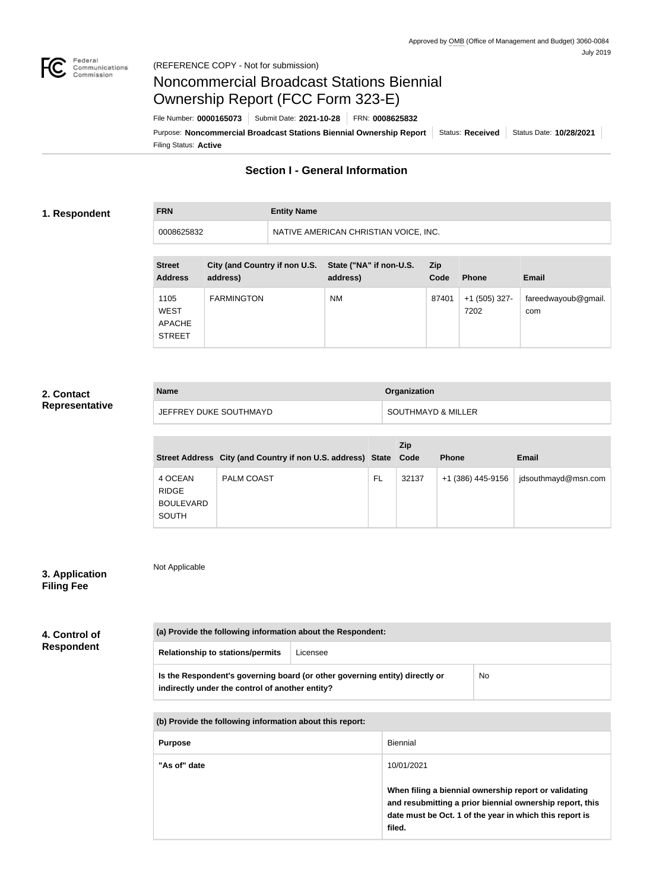

**FRN Entity Name**

# Noncommercial Broadcast Stations Biennial Ownership Report (FCC Form 323-E)

Filing Status: **Active** Purpose: Noncommercial Broadcast Stations Biennial Ownership Report | Status: Received | Status Date: 10/28/2021 File Number: **0000165073** Submit Date: **2021-10-28** FRN: **0008625832**

## **Section I - General Information**

#### **1. Respondent**

0008625832 NATIVE AMERICAN CHRISTIAN VOICE, INC.

| <b>Street</b><br><b>Address</b>                       | City (and Country if non U.S.<br>address) | State ("NA" if non-U.S.<br>address) | <b>Zip</b><br>Code | <b>Phone</b>          | <b>Email</b>               |
|-------------------------------------------------------|-------------------------------------------|-------------------------------------|--------------------|-----------------------|----------------------------|
| 1105<br><b>WEST</b><br><b>APACHE</b><br><b>STREET</b> | <b>FARMINGTON</b>                         | <b>NM</b>                           | 87401              | +1 (505) 327-<br>7202 | fareedwayoub@gmail.<br>com |

### **2. Contact Representative**

| <b>Name</b>            | Organization                  |
|------------------------|-------------------------------|
| JEFFREY DUKE SOUTHMAYD | <b>SOUTHMAYD &amp; MILLER</b> |

|                                                      | Street Address City (and Country if non U.S. address) State Code |           | Zip   | <b>Phone</b>      | <b>Email</b>        |
|------------------------------------------------------|------------------------------------------------------------------|-----------|-------|-------------------|---------------------|
| 4 OCEAN<br><b>RIDGE</b><br><b>BOULEVARD</b><br>SOUTH | <b>PALM COAST</b>                                                | <b>FL</b> | 32137 | +1 (386) 445-9156 | jdsouthmayd@msn.com |

## **3. Application Filing Fee**

Not Applicable

| 4. Control of<br><b>Respondent</b> | (a) Provide the following information about the Respondent: |                                                                             |                 |     |  |
|------------------------------------|-------------------------------------------------------------|-----------------------------------------------------------------------------|-----------------|-----|--|
|                                    | <b>Relationship to stations/permits</b>                     | Licensee                                                                    |                 |     |  |
|                                    | indirectly under the control of another entity?             | Is the Respondent's governing board (or other governing entity) directly or |                 | No. |  |
|                                    | (b) Provide the following information about this report:    |                                                                             |                 |     |  |
|                                    | <b>Purpose</b>                                              |                                                                             | <b>Biennial</b> |     |  |
|                                    | "As of" date                                                |                                                                             | 10/01/2021      |     |  |

**When filing a biennial ownership report or validating and resubmitting a prior biennial ownership report, this date must be Oct. 1 of the year in which this report is filed.**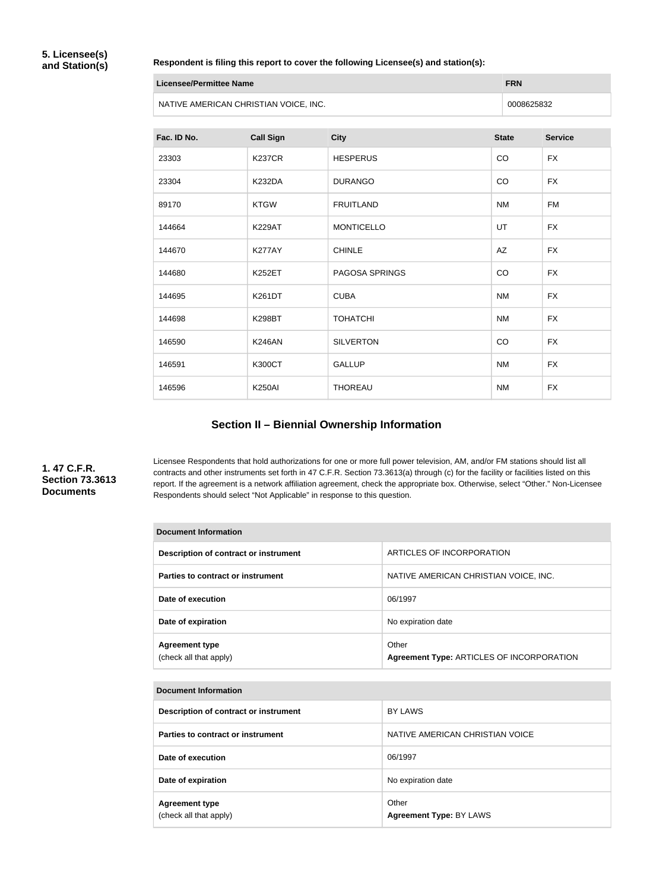#### **Respondent is filing this report to cover the following Licensee(s) and station(s):**

| Licensee/Permittee Name               | <b>FRN</b> |
|---------------------------------------|------------|
| NATIVE AMERICAN CHRISTIAN VOICE, INC. | 0008625832 |

| Fac. ID No. | <b>Call Sign</b> | <b>City</b>           | <b>State</b> | <b>Service</b> |
|-------------|------------------|-----------------------|--------------|----------------|
| 23303       | <b>K237CR</b>    | <b>HESPERUS</b>       | CO           | <b>FX</b>      |
| 23304       | <b>K232DA</b>    | <b>DURANGO</b>        | CO           | <b>FX</b>      |
| 89170       | <b>KTGW</b>      | <b>FRUITLAND</b>      | <b>NM</b>    | <b>FM</b>      |
| 144664      | <b>K229AT</b>    | <b>MONTICELLO</b>     | UT           | <b>FX</b>      |
| 144670      | <b>K277AY</b>    | <b>CHINLE</b>         | AZ           | <b>FX</b>      |
| 144680      | <b>K252ET</b>    | <b>PAGOSA SPRINGS</b> | CO           | <b>FX</b>      |
| 144695      | <b>K261DT</b>    | <b>CUBA</b>           | <b>NM</b>    | <b>FX</b>      |
| 144698      | <b>K298BT</b>    | <b>TOHATCHI</b>       | <b>NM</b>    | <b>FX</b>      |
| 146590      | <b>K246AN</b>    | <b>SILVERTON</b>      | CO           | <b>FX</b>      |
| 146591      | <b>K300CT</b>    | <b>GALLUP</b>         | <b>NM</b>    | <b>FX</b>      |
| 146596      | <b>K250AI</b>    | <b>THOREAU</b>        | <b>NM</b>    | <b>FX</b>      |

## **Section II – Biennial Ownership Information**

## **1. 47 C.F.R. Section 73.3613 Documents**

Licensee Respondents that hold authorizations for one or more full power television, AM, and/or FM stations should list all contracts and other instruments set forth in 47 C.F.R. Section 73.3613(a) through (c) for the facility or facilities listed on this report. If the agreement is a network affiliation agreement, check the appropriate box. Otherwise, select "Other." Non-Licensee Respondents should select "Not Applicable" in response to this question.

| Document Information                            |                                                    |  |  |
|-------------------------------------------------|----------------------------------------------------|--|--|
| Description of contract or instrument           | ARTICLES OF INCORPORATION                          |  |  |
| Parties to contract or instrument               | NATIVE AMERICAN CHRISTIAN VOICE, INC.              |  |  |
| Date of execution                               | 06/1997                                            |  |  |
| Date of expiration                              | No expiration date                                 |  |  |
| <b>Agreement type</b><br>(check all that apply) | Other<br>Agreement Type: ARTICLES OF INCORPORATION |  |  |

| <b>Document Information</b>                     |                                  |
|-------------------------------------------------|----------------------------------|
| Description of contract or instrument           | <b>BY LAWS</b>                   |
| Parties to contract or instrument               | NATIVE AMERICAN CHRISTIAN VOICE  |
| Date of execution                               | 06/1997                          |
| Date of expiration                              | No expiration date               |
| <b>Agreement type</b><br>(check all that apply) | Other<br>Agreement Type: BY LAWS |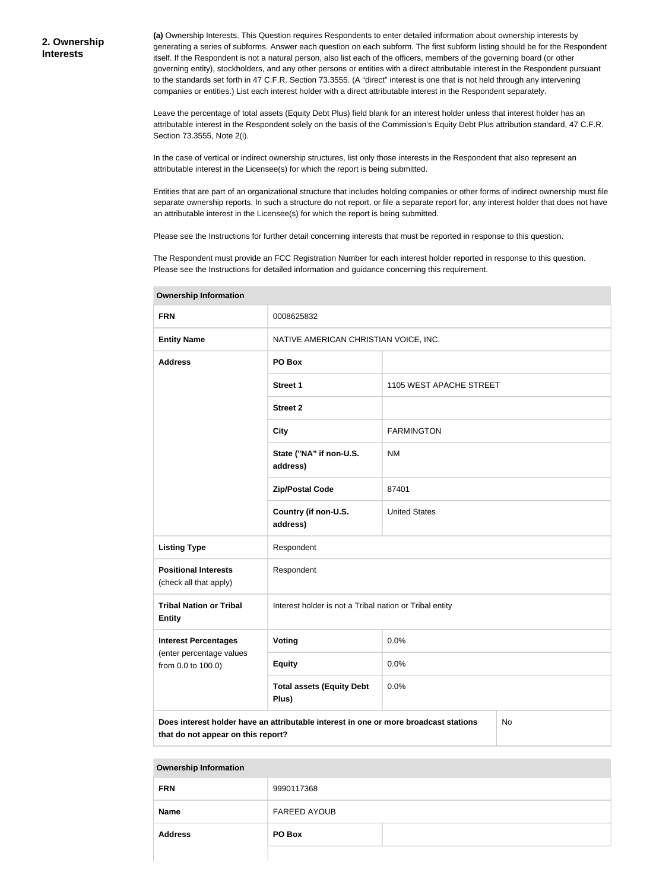**(a)** Ownership Interests. This Question requires Respondents to enter detailed information about ownership interests by generating a series of subforms. Answer each question on each subform. The first subform listing should be for the Respondent itself. If the Respondent is not a natural person, also list each of the officers, members of the governing board (or other governing entity), stockholders, and any other persons or entities with a direct attributable interest in the Respondent pursuant to the standards set forth in 47 C.F.R. Section 73.3555. (A "direct" interest is one that is not held through any intervening companies or entities.) List each interest holder with a direct attributable interest in the Respondent separately.

Leave the percentage of total assets (Equity Debt Plus) field blank for an interest holder unless that interest holder has an attributable interest in the Respondent solely on the basis of the Commission's Equity Debt Plus attribution standard, 47 C.F.R. Section 73.3555, Note 2(i).

In the case of vertical or indirect ownership structures, list only those interests in the Respondent that also represent an attributable interest in the Licensee(s) for which the report is being submitted.

Entities that are part of an organizational structure that includes holding companies or other forms of indirect ownership must file separate ownership reports. In such a structure do not report, or file a separate report for, any interest holder that does not have an attributable interest in the Licensee(s) for which the report is being submitted.

Please see the Instructions for further detail concerning interests that must be reported in response to this question.

The Respondent must provide an FCC Registration Number for each interest holder reported in response to this question. Please see the Instructions for detailed information and guidance concerning this requirement.

| omnoranip imormanom                                   |                                                                                                                                  |                         |  |  |
|-------------------------------------------------------|----------------------------------------------------------------------------------------------------------------------------------|-------------------------|--|--|
| <b>FRN</b>                                            | 0008625832                                                                                                                       |                         |  |  |
| <b>Entity Name</b>                                    | NATIVE AMERICAN CHRISTIAN VOICE, INC.                                                                                            |                         |  |  |
| <b>Address</b>                                        | PO Box                                                                                                                           |                         |  |  |
|                                                       | Street 1                                                                                                                         | 1105 WEST APACHE STREET |  |  |
|                                                       | <b>Street 2</b>                                                                                                                  |                         |  |  |
|                                                       | <b>City</b>                                                                                                                      | <b>FARMINGTON</b>       |  |  |
|                                                       | State ("NA" if non-U.S.<br>address)                                                                                              | <b>NM</b>               |  |  |
|                                                       | <b>Zip/Postal Code</b>                                                                                                           | 87401                   |  |  |
|                                                       | Country (if non-U.S.<br>address)                                                                                                 | <b>United States</b>    |  |  |
| <b>Listing Type</b>                                   | Respondent                                                                                                                       |                         |  |  |
| <b>Positional Interests</b><br>(check all that apply) | Respondent                                                                                                                       |                         |  |  |
| <b>Tribal Nation or Tribal</b><br><b>Entity</b>       | Interest holder is not a Tribal nation or Tribal entity                                                                          |                         |  |  |
| <b>Interest Percentages</b>                           | Voting                                                                                                                           | 0.0%                    |  |  |
| (enter percentage values<br>from 0.0 to 100.0)        | <b>Equity</b>                                                                                                                    | 0.0%                    |  |  |
|                                                       | <b>Total assets (Equity Debt</b><br>Plus)                                                                                        | 0.0%                    |  |  |
|                                                       | Does interest holder have an attributable interest in one or more broadcast stations<br>No<br>that do not appear on this report? |                         |  |  |

**Ownership Information**

**Ownership Information**

| <b>FRN</b>     | 9990117368          |  |
|----------------|---------------------|--|
| <b>Name</b>    | <b>FAREED AYOUB</b> |  |
| <b>Address</b> | PO Box              |  |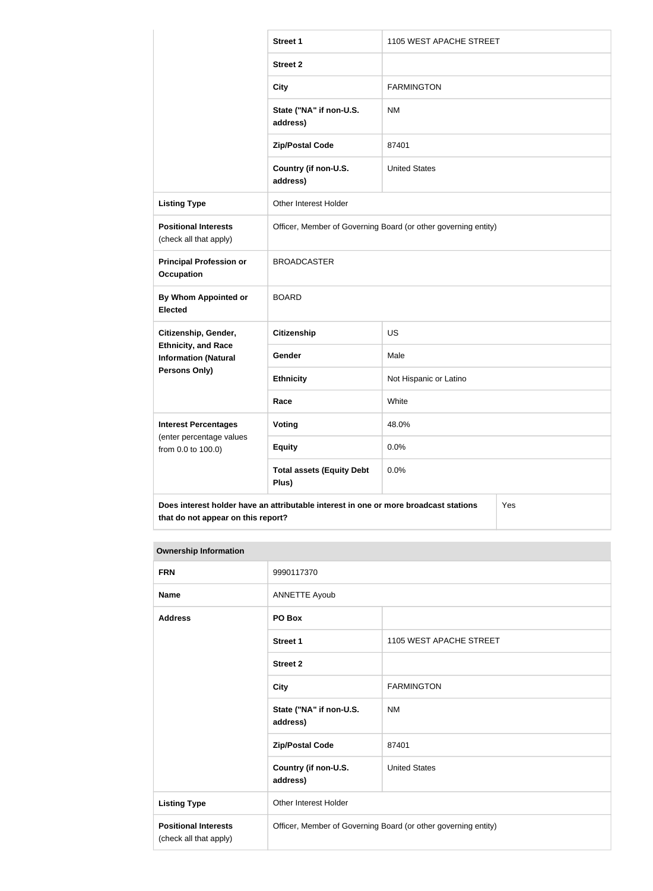|                                                           | <b>Street 1</b>                                                                      | 1105 WEST APACHE STREET |  |
|-----------------------------------------------------------|--------------------------------------------------------------------------------------|-------------------------|--|
|                                                           | <b>Street 2</b>                                                                      |                         |  |
|                                                           | <b>City</b>                                                                          | <b>FARMINGTON</b>       |  |
|                                                           | State ("NA" if non-U.S.<br>address)                                                  | <b>NM</b>               |  |
|                                                           | <b>Zip/Postal Code</b>                                                               | 87401                   |  |
|                                                           | Country (if non-U.S.<br>address)                                                     | <b>United States</b>    |  |
| <b>Listing Type</b>                                       | Other Interest Holder                                                                |                         |  |
| <b>Positional Interests</b><br>(check all that apply)     | Officer, Member of Governing Board (or other governing entity)                       |                         |  |
| <b>Principal Profession or</b><br><b>Occupation</b>       | <b>BROADCASTER</b>                                                                   |                         |  |
| By Whom Appointed or<br><b>Elected</b>                    | <b>BOARD</b>                                                                         |                         |  |
| Citizenship, Gender,                                      | <b>Citizenship</b>                                                                   | <b>US</b>               |  |
| <b>Ethnicity, and Race</b><br><b>Information (Natural</b> | Gender                                                                               | Male                    |  |
| <b>Persons Only)</b>                                      | <b>Ethnicity</b>                                                                     | Not Hispanic or Latino  |  |
|                                                           | Race                                                                                 | White                   |  |
| <b>Interest Percentages</b><br>(enter percentage values   | Voting                                                                               | 48.0%                   |  |
| from 0.0 to 100.0)                                        | <b>Equity</b>                                                                        | 0.0%                    |  |
|                                                           | <b>Total assets (Equity Debt</b><br>Plus)                                            | 0.0%                    |  |
|                                                           | Does interest holder have an attributable interest in one or more broadcast stations | Yes                     |  |

| that do not appear on this report? |  |
|------------------------------------|--|
|                                    |  |

| <b>Ownership Information</b>                          |                                                                |                         |  |
|-------------------------------------------------------|----------------------------------------------------------------|-------------------------|--|
| <b>FRN</b>                                            | 9990117370                                                     |                         |  |
| <b>Name</b>                                           | <b>ANNETTE Ayoub</b>                                           |                         |  |
| <b>Address</b>                                        | PO Box                                                         |                         |  |
|                                                       | <b>Street 1</b>                                                | 1105 WEST APACHE STREET |  |
|                                                       | <b>Street 2</b>                                                |                         |  |
|                                                       | <b>City</b>                                                    | <b>FARMINGTON</b>       |  |
|                                                       | State ("NA" if non-U.S.<br>address)                            | <b>NM</b>               |  |
|                                                       | <b>Zip/Postal Code</b>                                         | 87401                   |  |
|                                                       | Country (if non-U.S.<br>address)                               | <b>United States</b>    |  |
| <b>Listing Type</b>                                   | Other Interest Holder                                          |                         |  |
| <b>Positional Interests</b><br>(check all that apply) | Officer, Member of Governing Board (or other governing entity) |                         |  |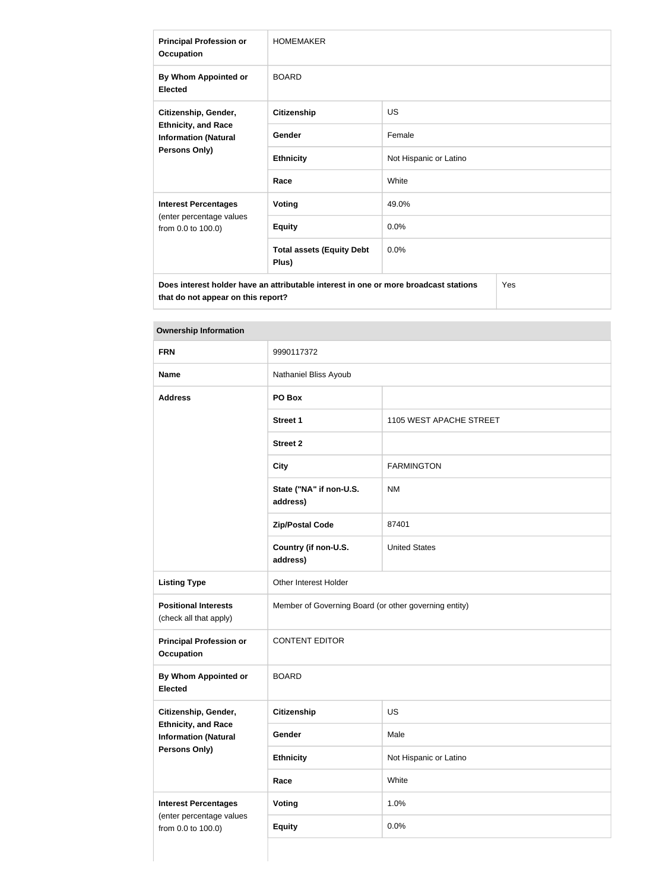| <b>Principal Profession or</b><br><b>Occupation</b>                                                | <b>HOMEMAKER</b>                          |                        |  |
|----------------------------------------------------------------------------------------------------|-------------------------------------------|------------------------|--|
| By Whom Appointed or<br><b>Elected</b>                                                             | <b>BOARD</b>                              |                        |  |
| Citizenship, Gender,<br><b>Ethnicity, and Race</b><br><b>Information (Natural</b><br>Persons Only) | <b>Citizenship</b>                        | <b>US</b>              |  |
|                                                                                                    | Gender                                    | Female                 |  |
|                                                                                                    | <b>Ethnicity</b>                          | Not Hispanic or Latino |  |
|                                                                                                    | Race                                      | White                  |  |
| <b>Interest Percentages</b><br>(enter percentage values<br>from 0.0 to 100.0)                      | <b>Voting</b>                             | 49.0%                  |  |
|                                                                                                    | <b>Equity</b>                             | 0.0%                   |  |
|                                                                                                    | <b>Total assets (Equity Debt</b><br>Plus) | 0.0%                   |  |
| Yes<br>Does interest holder have an attributable interest in one or more broadcast stations        |                                           |                        |  |

**Ownership Information**

**that do not appear on this report?**

| OWNERSHIP INTOITIRE ON                                                            |                                                       |                         |  |
|-----------------------------------------------------------------------------------|-------------------------------------------------------|-------------------------|--|
| <b>FRN</b>                                                                        | 9990117372                                            |                         |  |
| <b>Name</b>                                                                       | Nathaniel Bliss Ayoub                                 |                         |  |
| <b>Address</b>                                                                    | PO Box                                                |                         |  |
|                                                                                   | <b>Street 1</b>                                       | 1105 WEST APACHE STREET |  |
|                                                                                   | <b>Street 2</b>                                       |                         |  |
|                                                                                   | <b>City</b>                                           | <b>FARMINGTON</b>       |  |
|                                                                                   | State ("NA" if non-U.S.<br>address)                   | <b>NM</b>               |  |
|                                                                                   | <b>Zip/Postal Code</b>                                | 87401                   |  |
|                                                                                   | Country (if non-U.S.<br>address)                      | <b>United States</b>    |  |
| <b>Listing Type</b>                                                               | Other Interest Holder                                 |                         |  |
| <b>Positional Interests</b><br>(check all that apply)                             | Member of Governing Board (or other governing entity) |                         |  |
| <b>Principal Profession or</b><br><b>Occupation</b>                               | <b>CONTENT EDITOR</b>                                 |                         |  |
| By Whom Appointed or<br><b>Elected</b>                                            | <b>BOARD</b>                                          |                         |  |
| Citizenship, Gender,                                                              | <b>Citizenship</b>                                    | <b>US</b>               |  |
| <b>Ethnicity, and Race</b><br><b>Information (Natural</b><br><b>Persons Only)</b> | Gender                                                | Male                    |  |
|                                                                                   | <b>Ethnicity</b>                                      | Not Hispanic or Latino  |  |
|                                                                                   | Race                                                  | White                   |  |
| <b>Interest Percentages</b><br>(enter percentage values<br>from 0.0 to 100.0)     | <b>Voting</b>                                         | 1.0%                    |  |
|                                                                                   | <b>Equity</b>                                         | 0.0%                    |  |
|                                                                                   |                                                       |                         |  |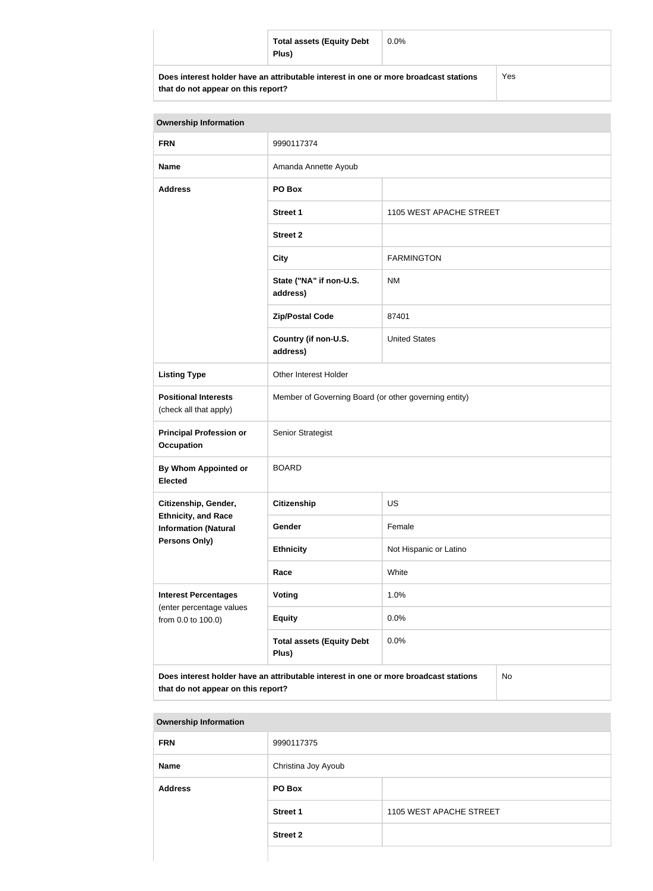|                                                                                      | <b>Total assets (Equity Debt</b><br>Plus) | $0.0\%$ |  |
|--------------------------------------------------------------------------------------|-------------------------------------------|---------|--|
| Does interest holder have an attributable interest in one or more broadcast stations |                                           | Yes     |  |

**that do not appear on this report?**

| <b>Ownership Information</b>                                                                                                            |                                                       |                         |  |
|-----------------------------------------------------------------------------------------------------------------------------------------|-------------------------------------------------------|-------------------------|--|
| <b>FRN</b>                                                                                                                              | 9990117374                                            |                         |  |
| <b>Name</b>                                                                                                                             | Amanda Annette Ayoub                                  |                         |  |
| <b>Address</b>                                                                                                                          | PO Box                                                |                         |  |
|                                                                                                                                         | <b>Street 1</b>                                       | 1105 WEST APACHE STREET |  |
|                                                                                                                                         | <b>Street 2</b>                                       |                         |  |
|                                                                                                                                         | <b>City</b>                                           | <b>FARMINGTON</b>       |  |
|                                                                                                                                         | State ("NA" if non-U.S.<br>address)                   | <b>NM</b>               |  |
|                                                                                                                                         | <b>Zip/Postal Code</b>                                | 87401                   |  |
|                                                                                                                                         | Country (if non-U.S.<br>address)                      | <b>United States</b>    |  |
| <b>Listing Type</b>                                                                                                                     | Other Interest Holder                                 |                         |  |
| <b>Positional Interests</b><br>(check all that apply)                                                                                   | Member of Governing Board (or other governing entity) |                         |  |
| <b>Principal Profession or</b><br><b>Occupation</b>                                                                                     | Senior Strategist                                     |                         |  |
| By Whom Appointed or<br><b>Elected</b>                                                                                                  | <b>BOARD</b>                                          |                         |  |
| Citizenship, Gender,                                                                                                                    | Citizenship                                           | <b>US</b>               |  |
| <b>Ethnicity, and Race</b><br><b>Information (Natural</b>                                                                               | Gender                                                | Female                  |  |
| Persons Only)                                                                                                                           | <b>Ethnicity</b>                                      | Not Hispanic or Latino  |  |
|                                                                                                                                         | Race                                                  | White                   |  |
| <b>Interest Percentages</b>                                                                                                             | Voting                                                | 1.0%                    |  |
| (enter percentage values<br>from 0.0 to 100.0)                                                                                          | <b>Equity</b>                                         | 0.0%                    |  |
|                                                                                                                                         | <b>Total assets (Equity Debt</b><br>Plus)             | 0.0%                    |  |
| Does interest holder have an attributable interest in one or more broadcast stations<br><b>No</b><br>that do not appear on this report? |                                                       |                         |  |

| <b>Ownership Information</b> |                     |                         |  |
|------------------------------|---------------------|-------------------------|--|
| <b>FRN</b>                   | 9990117375          |                         |  |
| <b>Name</b>                  | Christina Joy Ayoub |                         |  |
| <b>Address</b>               | PO Box              |                         |  |
|                              | <b>Street 1</b>     | 1105 WEST APACHE STREET |  |
|                              | <b>Street 2</b>     |                         |  |
|                              |                     |                         |  |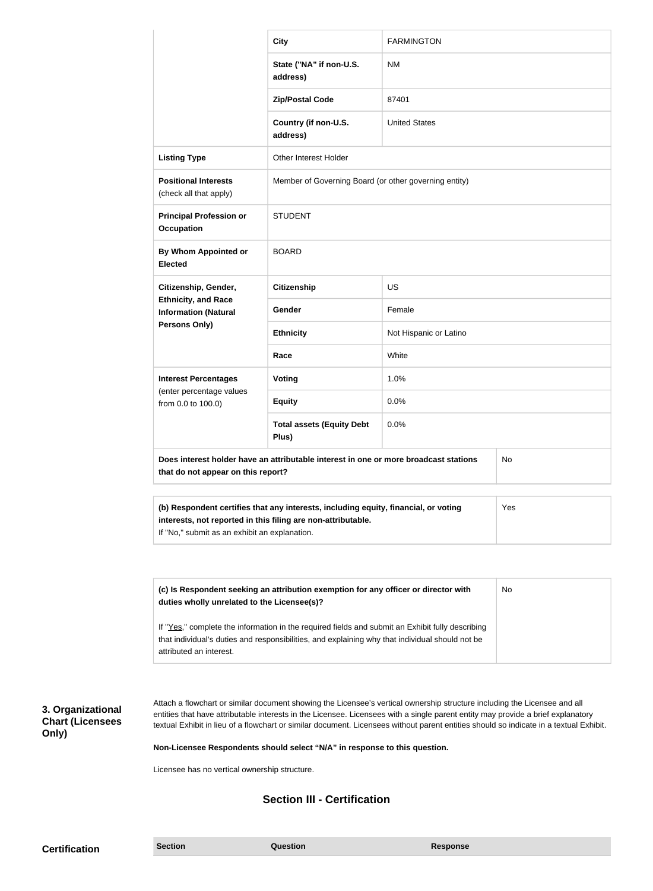|                                                                                                                                                                                                             | <b>City</b>                                           | <b>FARMINGTON</b>      |  |
|-------------------------------------------------------------------------------------------------------------------------------------------------------------------------------------------------------------|-------------------------------------------------------|------------------------|--|
|                                                                                                                                                                                                             | State ("NA" if non-U.S.<br>address)                   | <b>NM</b>              |  |
|                                                                                                                                                                                                             | <b>Zip/Postal Code</b>                                | 87401                  |  |
|                                                                                                                                                                                                             | Country (if non-U.S.<br>address)                      | <b>United States</b>   |  |
| <b>Listing Type</b>                                                                                                                                                                                         | <b>Other Interest Holder</b>                          |                        |  |
| <b>Positional Interests</b><br>(check all that apply)                                                                                                                                                       | Member of Governing Board (or other governing entity) |                        |  |
| <b>Principal Profession or</b><br><b>Occupation</b>                                                                                                                                                         | <b>STUDENT</b>                                        |                        |  |
| By Whom Appointed or<br><b>Elected</b>                                                                                                                                                                      | <b>BOARD</b>                                          |                        |  |
| Citizenship, Gender,                                                                                                                                                                                        | Citizenship                                           | <b>US</b>              |  |
| <b>Ethnicity, and Race</b><br><b>Information (Natural</b>                                                                                                                                                   | Gender                                                | Female                 |  |
| Persons Only)                                                                                                                                                                                               | <b>Ethnicity</b>                                      | Not Hispanic or Latino |  |
|                                                                                                                                                                                                             | Race                                                  | White                  |  |
| <b>Interest Percentages</b>                                                                                                                                                                                 | <b>Voting</b>                                         | 1.0%                   |  |
| (enter percentage values<br>from 0.0 to 100.0)                                                                                                                                                              | <b>Equity</b>                                         | 0.0%                   |  |
|                                                                                                                                                                                                             | <b>Total assets (Equity Debt</b><br>Plus)             | 0.0%                   |  |
| Does interest holder have an attributable interest in one or more broadcast stations<br>No<br>that do not appear on this report?                                                                            |                                                       |                        |  |
| (b) Respondent certifies that any interests, including equity, financial, or voting<br>Yes<br>interests, not reported in this filing are non-attributable.<br>If "No," submit as an exhibit an explanation. |                                                       |                        |  |

| (c) Is Respondent seeking an attribution exemption for any officer or director with<br>duties wholly unrelated to the Licensee(s)?                                                                                             | No |
|--------------------------------------------------------------------------------------------------------------------------------------------------------------------------------------------------------------------------------|----|
| If "Yes," complete the information in the required fields and submit an Exhibit fully describing<br>that individual's duties and responsibilities, and explaining why that individual should not be<br>attributed an interest. |    |

## **3. Organizational Chart (Licensees Only)**

Attach a flowchart or similar document showing the Licensee's vertical ownership structure including the Licensee and all entities that have attributable interests in the Licensee. Licensees with a single parent entity may provide a brief explanatory textual Exhibit in lieu of a flowchart or similar document. Licensees without parent entities should so indicate in a textual Exhibit.

**Non-Licensee Respondents should select "N/A" in response to this question.**

Licensee has no vertical ownership structure.

## **Section III - Certification**